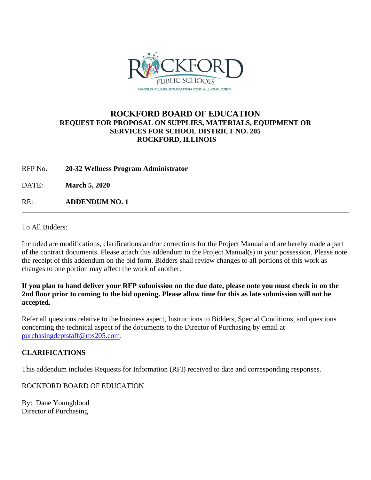

## **ROCKFORD BOARD OF EDUCATION REQUEST FOR PROPOSAL ON SUPPLIES, MATERIALS, EQUIPMENT OR SERVICES FOR SCHOOL DISTRICT NO. 205 ROCKFORD, ILLINOIS**

RFP No. **20-32 Wellness Program Administrator**

DATE: **March 5, 2020**

RE: **ADDENDUM NO. 1**

To All Bidders:

Included are modifications, clarifications and/or corrections for the Project Manual and are hereby made a part of the contract documents. Please attach this addendum to the Project Manual(s) in your possession. Please note the receipt of this addendum on the bid form. Bidders shall review changes to all portions of this work as changes to one portion may affect the work of another.

**If you plan to hand deliver your RFP submission on the due date, please note you must check in on the 2nd floor prior to coming to the bid opening. Please allow time for this as late submission will not be accepted.**

Refer all questions relative to the business aspect, Instructions to Bidders, Special Conditions, and questions concerning the technical aspect of the documents to the Director of Purchasing by email at [purchasingdeptstaff@rps205.com.](mailto:purchasingdeptstaff@rps205.com)

## **CLARIFICATIONS**

This addendum includes Requests for Information (RFI) received to date and corresponding responses.

ROCKFORD BOARD OF EDUCATION

By: Dane Youngblood Director of Purchasing